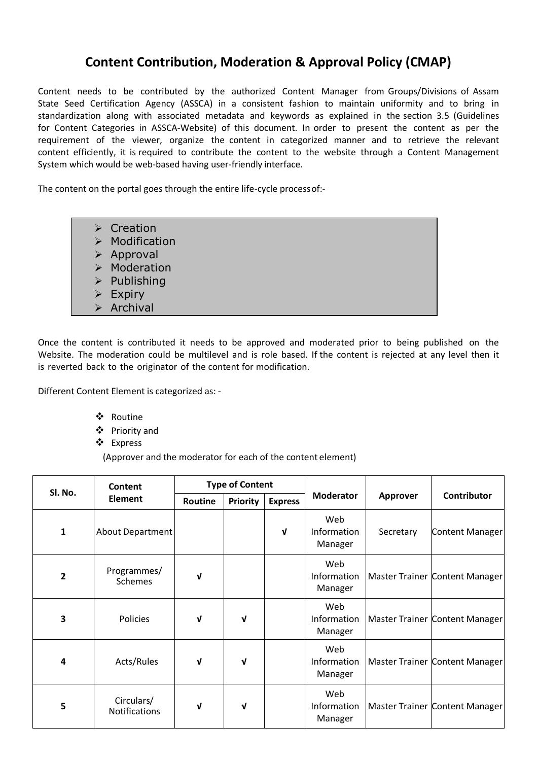## **Content Contribution, Moderation & Approval Policy (CMAP)**

Content needs to be contributed by the authorized Content Manager from Groups/Divisions of Assam State Seed Certification Agency (ASSCA) in a consistent fashion to maintain uniformity and to bring in standardization along with associated metadata and keywords as explained in the section 3.5 (Guidelines for Content Categories in ASSCA-Website) of this document. In order to present the content as per the requirement of the viewer, organize the content in categorized manner and to retrieve the relevant content efficiently, it is required to contribute the content to the website through a Content Management System which would be web-based having user-friendly interface.

The content on the portal goes through the entire life-cycle processof:-

| $\triangleright$ Creation     |
|-------------------------------|
| $\triangleright$ Modification |
| $\triangleright$ Approval     |
| $\triangleright$ Moderation   |
| $\triangleright$ Publishing   |
| $\triangleright$ Expiry       |
| $\triangleright$ Archival     |

Once the content is contributed it needs to be approved and moderated prior to being published on the Website. The moderation could be multilevel and is role based. If the content is rejected at any level then it is reverted back to the originator of the content for modification.

Different Content Element is categorized as: -

- Routine
- Priority and
- Express

(Approver and the moderator for each of the content element)

| Sl. No.        | Content<br><b>Element</b>          | <b>Type of Content</b> |                 |                |                               |           |                                       |
|----------------|------------------------------------|------------------------|-----------------|----------------|-------------------------------|-----------|---------------------------------------|
|                |                                    | Routine                | <b>Priority</b> | <b>Express</b> | <b>Moderator</b>              | Approver  | Contributor                           |
| $\mathbf{1}$   | <b>About Department</b>            |                        |                 | $\mathbf{v}$   | Web<br>Information<br>Manager | Secretary | Content Manager                       |
| $\overline{2}$ | Programmes/<br><b>Schemes</b>      | V                      |                 |                | Web<br>Information<br>Manager |           | <b>Master Trainer Content Manager</b> |
| 3              | Policies                           | ึ่ง                    | ν               |                | Web<br>Information<br>Manager |           | Master Trainer Content Manager        |
| 4              | Acts/Rules                         | ν                      | V               |                | Web<br>Information<br>Manager |           | Master Trainer Content Manager        |
| 5              | Circulars/<br><b>Notifications</b> | ν                      | V               |                | Web<br>Information<br>Manager |           | Master Trainer Content Manager        |